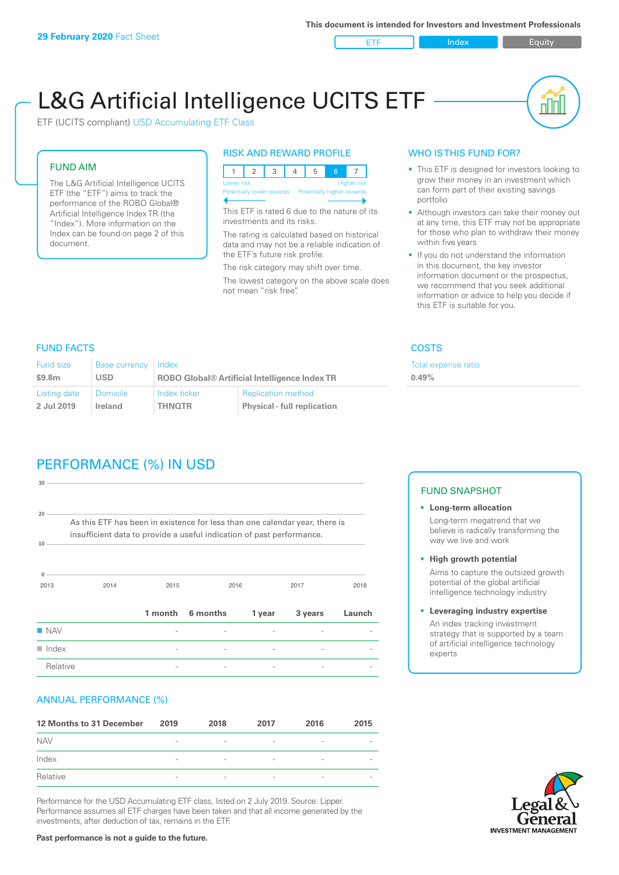ETF Index Buity

nn

# L&G Artificial Intelligence UCITS ETF

ETF (UCITS compliant) USD Accumulating ETF Class

### FUND AIM

The L&G Artificial Intelligence UCITS ETF (the "ETF") aims to track the performance of the ROBO Global® Artificial Intelligence Index TR (the "Index"). More information on the Index can be found on page 2 of this document.

#### RISK AND REWARD PROFILE

| Lower risk<br><b>Higher risk</b> |                           |  |  |  |  |                            |  |  |
|----------------------------------|---------------------------|--|--|--|--|----------------------------|--|--|
|                                  | Potentially lower rewards |  |  |  |  | Potentially higher rewards |  |  |
|                                  |                           |  |  |  |  |                            |  |  |

This ETF is rated 6 due to the nature of its investments and its risks.

The rating is calculated based on historical data and may not be a reliable indication of the ETF's future risk profile.

The risk category may shift over time. The lowest category on the above scale does not mean "risk free".

#### WHO IS THIS FUND FOR?

- This ETF is designed for investors looking to grow their money in an investment which can form part of their existing savings portfolio
- Although investors can take their money out at any time, this ETF may not be appropriate for those who plan to withdraw their money within five years
- If you do not understand the information in this document, the key investor information document or the prospectus, we recommend that you seek additional information or advice to help you decide if this ETF is suitable for you.

**0.49%**

Total expense ratio

FUND FACTS COSTS

| <b>Fund size</b> | Base currency   | Index                                                |                                    |  |
|------------------|-----------------|------------------------------------------------------|------------------------------------|--|
| \$9.8m           | <b>USD</b>      | <b>ROBO Global® Artificial Intelligence Index TR</b> |                                    |  |
| Listing date     | <b>Domicile</b> | Index ticker                                         | <b>Replication method</b>          |  |
| 2 Jul 2019       | Ireland         | <b>THNOTR</b>                                        | <b>Physical - full replication</b> |  |

# PERFORMANCE (%) IN USD

| 30                   |                                                                                                                                                      |                          |          |        |         |        |
|----------------------|------------------------------------------------------------------------------------------------------------------------------------------------------|--------------------------|----------|--------|---------|--------|
| 20<br>10             | As this ETF has been in existence for less than one calendar year, there is<br>insufficient data to provide a useful indication of past performance. |                          |          |        |         |        |
| $\mathbf{0}$<br>2013 | 2014                                                                                                                                                 | 2015                     |          | 2016   | 2017    | 2018   |
|                      |                                                                                                                                                      | 1 month                  | 6 months | 1 year | 3 years | Launch |
| <b>NAV</b>           |                                                                                                                                                      |                          |          |        |         |        |
| $\blacksquare$ Index |                                                                                                                                                      | $\overline{\phantom{0}}$ |          |        |         |        |
| Relative             |                                                                                                                                                      |                          |          |        |         |        |

#### ANNUAL PERFORMANCE (%)

| 12 Months to 31 December | 2019                     | 2018                     | 2017                     | 2016                     | 2015                     |
|--------------------------|--------------------------|--------------------------|--------------------------|--------------------------|--------------------------|
| <b>NAV</b>               | $\qquad \qquad$          | $\overline{\phantom{a}}$ | $\overline{\phantom{a}}$ | $\overline{\phantom{a}}$ | $\overline{\phantom{a}}$ |
| Index                    | $\qquad \qquad$          | $\overline{\phantom{a}}$ | $\qquad \qquad$          | $\qquad \qquad$          | $\overline{\phantom{a}}$ |
| Relative                 | $\overline{\phantom{a}}$ | $\overline{\phantom{a}}$ | $\overline{\phantom{a}}$ | $\sim$                   | $\overline{\phantom{a}}$ |

Performance for the USD Accumulating ETF class, listed on 2 July 2019. Source: Lipper. Performance assumes all ETF charges have been taken and that all income generated by the investments, after deduction of tax, remains in the ETF.

#### FUND SNAPSHOT

- **• Long-term allocation** Long-term megatrend that we believe is radically transforming the way we live and work
- **• High growth potential** Aims to capture the outsized growth potential of the global artificial intelligence technology industry
- **• Leveraging industry expertise** An index tracking investment strategy that is supported by a team of artificial intelligence technology experts



**Past performance is not a guide to the future.**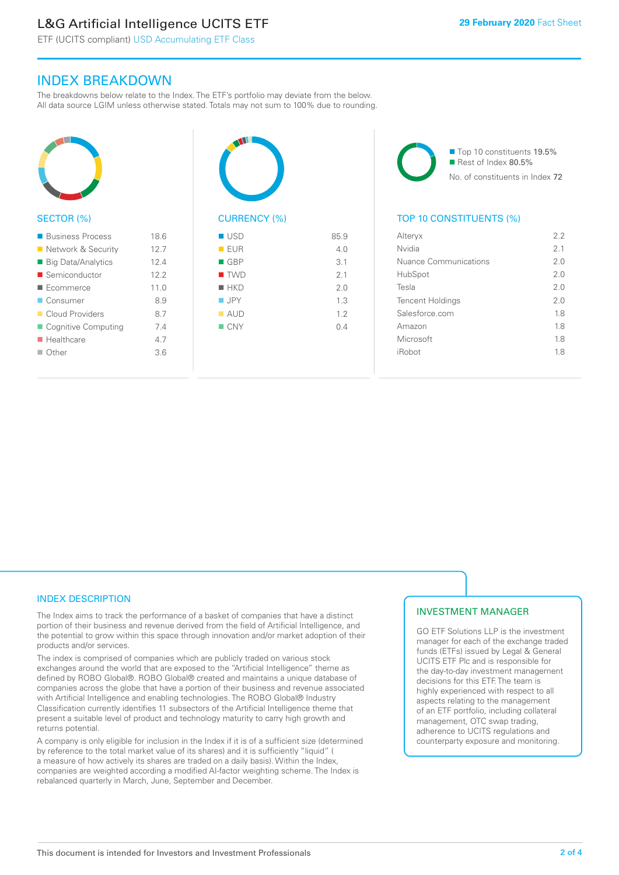## L&G Artificial Intelligence UCITS ETF

ETF (UCITS compliant) USD Accumulating ETF Class

### INDEX BREAKDOWN

The breakdowns below relate to the Index. The ETF's portfolio may deviate from the below. All data source LGIM unless otherwise stated. Totals may not sum to 100% due to rounding.



| ■ Business Process    | 18.6 |
|-----------------------|------|
| ■ Network & Security  | 12.7 |
| ■ Big Data/Analytics  | 12.4 |
| ■ Semiconductor       | 12.2 |
| Ecommerce             | 110  |
| ■ Consumer            | 8.9  |
| Cloud Providers       | 87   |
| ■ Cognitive Computing | 74   |
| <b>Healthcare</b>     | 47   |
| $\blacksquare$ Other  | 3.6  |
|                       |      |



| ■ USD              | 85.9 |
|--------------------|------|
| EUR                | 4.0  |
| $\blacksquare$ GBP | 3.1  |
| $\blacksquare$ TWD | 2.1  |
| $H$ HKD            | 2.0  |
| $\blacksquare$ JPY | 1.3  |
| $\blacksquare$ AUD | 1.2  |
| $\blacksquare$ CNY | 0.4  |
|                    |      |
|                    |      |

■ Top 10 constituents 19.5% Rest of Index 80.5% No. of constituents in Index 72

### TOP 10 CONSTITUENTS (%)

| Alteryx                 | 2.2            |
|-------------------------|----------------|
| Nvidia                  | 2 <sub>1</sub> |
| Nuance Communications   | 2 O            |
| HubSpot                 | 2 O            |
| Tesla                   | 2 O            |
| <b>Tencent Holdings</b> | 20             |
| Salesforce.com          | 18             |
| Amazon                  | 1.8            |
| Microsoft               | 1.8            |
| iRobot                  | 18             |
|                         |                |

#### INDEX DESCRIPTION

The Index aims to track the performance of a basket of companies that have a distinct portion of their business and revenue derived from the field of Artificial Intelligence, and the potential to grow within this space through innovation and/or market adoption of their products and/or services.

The index is comprised of companies which are publicly traded on various stock exchanges around the world that are exposed to the "Artificial Intelligence" theme as defined by ROBO Global®. ROBO Global® created and maintains a unique database of companies across the globe that have a portion of their business and revenue associated with Artificial Intelligence and enabling technologies. The ROBO Global® Industry Classification currently identifies 11 subsectors of the Artificial Intelligence theme that present a suitable level of product and technology maturity to carry high growth and returns potential.

A company is only eligible for inclusion in the Index if it is of a sufficient size (determined by reference to the total market value of its shares) and it is sufficiently "liquid" ( a measure of how actively its shares are traded on a daily basis). Within the Index, companies are weighted according a modified AI-factor weighting scheme. The Index is rebalanced quarterly in March, June, September and December.

#### INVESTMENT MANAGER

GO ETF Solutions LLP is the investment manager for each of the exchange traded funds (ETFs) issued by Legal & General UCITS ETF Plc and is responsible for the day-to-day investment management decisions for this ETF. The team is highly experienced with respect to all aspects relating to the management of an ETF portfolio, including collateral management, OTC swap trading, adherence to UCITS regulations and counterparty exposure and monitoring.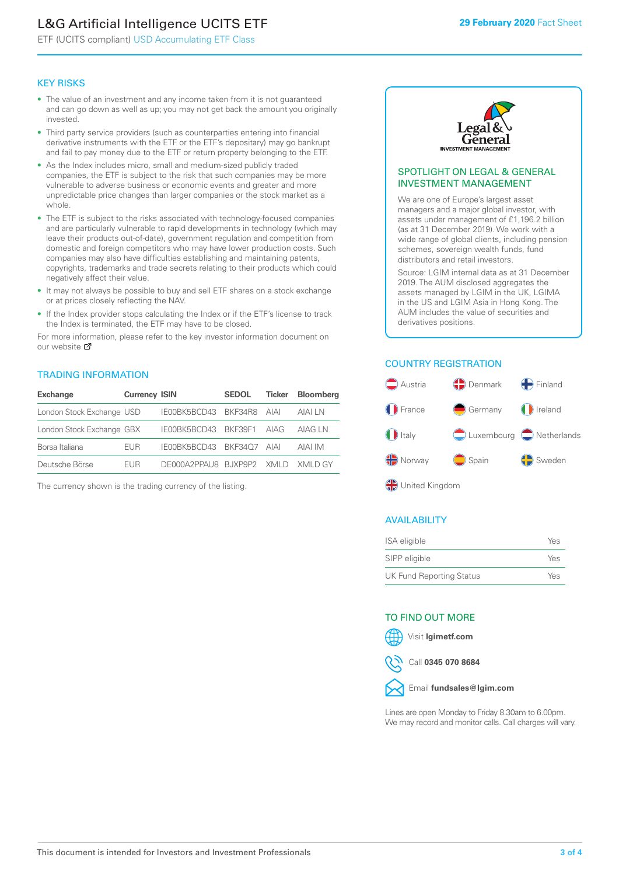# L&G Artificial Intelligence UCITS ETF

ETF (UCITS compliant) USD Accumulating ETF Class

#### KEY RISKS

- The value of an investment and any income taken from it is not guaranteed and can go down as well as up; you may not get back the amount you originally invested.
- Third party service providers (such as counterparties entering into financial derivative instruments with the ETF or the ETF's depositary) may go bankrupt and fail to pay money due to the ETF or return property belonging to the ETF.
- As the Index includes micro, small and medium-sized publicly traded companies, the ETF is subject to the risk that such companies may be more vulnerable to adverse business or economic events and greater and more unpredictable price changes than larger companies or the stock market as a whole.
- The ETF is subject to the risks associated with technology-focused companies and are particularly vulnerable to rapid developments in technology (which may leave their products out-of-date), government regulation and competition from domestic and foreign competitors who may have lower production costs. Such companies may also have difficulties establishing and maintaining patents, copyrights, trademarks and trade secrets relating to their products which could negatively affect their value.
- It may not always be possible to buy and sell ETF shares on a stock exchange or at prices closely reflecting the NAV.
- If the Index provider stops calculating the Index or if the ETF's license to track the Index is terminated, the ETF may have to be closed.

For more information, please refer to the key investor information document on our website Ø

#### TRADING INFORMATION

| <b>Exchange</b>           | <b>Currency ISIN</b> |                                   | <b>SEDOL</b> | Ticker | <b>Bloomberg</b> |
|---------------------------|----------------------|-----------------------------------|--------------|--------|------------------|
| London Stock Exchange USD |                      | IE00BK5BCD43 BKF34R8 AIAI         |              |        | AIAI I N         |
| London Stock Exchange GBX |                      | IE00BK5BCD43 BKF39F1 AIAG         |              |        | AIAG I N         |
| Borsa Italiana            | <b>FUR</b>           | IE00BK5BCD43 BKF34O7 AIAI         |              |        | AIAI IM          |
| Deutsche Börse            | <b>FUR</b>           | DE000A2PPAU8 BJXP9P2 XMLD XMLD GY |              |        |                  |

The currency shown is the trading currency of the listing.



#### SPOTLIGHT ON LEGAL & GENERAL INVESTMENT MANAGEMENT

We are one of Europe's largest asset managers and a major global investor, with assets under management of £1,196.2 billion (as at 31 December 2019). We work with a wide range of global clients, including pension schemes, sovereign wealth funds, fund distributors and retail investors.

Source: LGIM internal data as at 31 December 2019. The AUM disclosed aggregates the assets managed by LGIM in the UK, LGIMA in the US and LGIM Asia in Hong Kong. The AUM includes the value of securities and derivatives positions.

### COUNTRY REGISTRATION



#### AVAILABILITY

| ISA eligible                    | Yes |
|---------------------------------|-----|
| SIPP eligible                   | Yes |
| <b>UK Fund Reporting Status</b> | Yes |

#### TO FIND OUT MORE



Call **0345 070 8684**



Lines are open Monday to Friday 8.30am to 6.00pm. We may record and monitor calls. Call charges will vary.